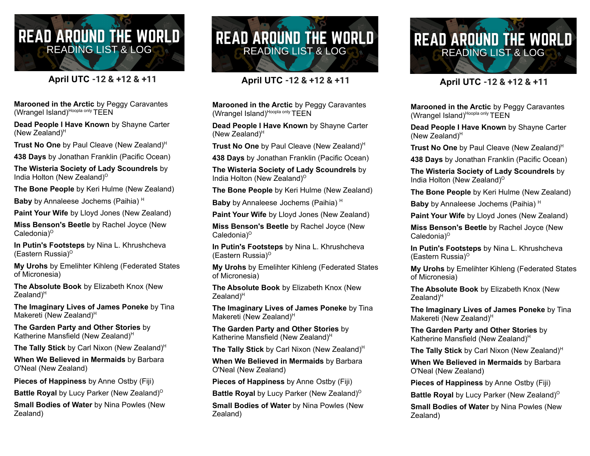## **READ AROUND THE WORLD READING LIST & LOG**

## **April UTC -12 & +12 & +11**

**Marooned in the Arctic** by Peggy Caravantes (Wrangel Island)<sup>Hoopla only</sup> TEEN

**Dead People I Have Known** by Shayne Carter (New Zealand) H

**Trust No One** by Paul Cleave (New Zealand) H

**438 Days** by Jonathan Franklin (Pacific Ocean)

**The Wisteria Society of Lady Scoundrels** by India Holton (New Zealand) O

**The Bone People** by Keri Hulme (New Zealand)

**Baby** by Annaleese Jochems (Paihia) H

**Paint Your Wife** by Lloyd Jones (New Zealand)

**Miss Benson's Beetle** by Rachel Joyce (New Caledonia)<sup>o</sup>

**In Putin's Footsteps** by Nina L. Khrushcheva (Eastern Russia) O

**My Urohs** by Emelihter Kihleng (Federated States of Micronesia)

**The Absolute Book** by Elizabeth Knox (New Zealand)<sup>H</sup>

**The Imaginary Lives of James Poneke** by Tina Makereti (New Zealand)<sup>H</sup>

**The Garden Party and Other Stories** by Katherine Mansfield (New Zealand)<sup>H</sup>

**The Tally Stick** by Carl Nixon (New Zealand) H

**When We Believed in Mermaids** by Barbara O'Neal (New Zealand)

**Pieces of Happiness** by Anne Ostby (Fiji)

**Battle Royal** by Lucy Parker (New Zealand)<sup>o</sup>

**Small Bodies of Water** by Nina Powles (New Zealand)



## **April UTC -12 & +12 & +11**

**Marooned in the Arctic** by Peggy Caravantes (Wrangel Island)<sup>Hoopla only</sup> TEEN

**Dead People I Have Known** by Shayne Carter (New Zealand) H

**Trust No One** by Paul Cleave (New Zealand) H

**438 Days** by Jonathan Franklin (Pacific Ocean)

**The Wisteria Society of Lady Scoundrels** by India Holton (New Zealand) O

**The Bone People** by Keri Hulme (New Zealand)

**Baby** by Annaleese Jochems (Paihia) H

**Paint Your Wife** by Lloyd Jones (New Zealand)

**Miss Benson's Beetle** by Rachel Joyce (New Caledonia)<sup>o</sup>

**In Putin's Footsteps** by Nina L. Khrushcheva (Eastern Russia) O

**My Urohs** by Emelihter Kihleng (Federated States of Micronesia)

**The Absolute Book** by Elizabeth Knox (New Zealand)<sup>H</sup>

**The Imaginary Lives of James Poneke** by Tina Makereti (New Zealand)<sup>H</sup>

**The Garden Party and Other Stories** by Katherine Mansfield (New Zealand)<sup>H</sup>

**The Tally Stick** by Carl Nixon (New Zealand) H

**When We Believed in Mermaids** by Barbara O'Neal (New Zealand)

**Pieces of Happiness** by Anne Ostby (Fiji)

**Battle Royal** by Lucy Parker (New Zealand)<sup>o</sup>

**Small Bodies of Water** by Nina Powles (New Zealand)



## **April UTC -12 & +12 & +11**

**Marooned in the Arctic** by Peggy Caravantes (Wrangel Island)<sup>Hoopla only</sup> TEEN

**Dead People I Have Known** by Shayne Carter (New Zealand) H

**Trust No One** by Paul Cleave (New Zealand) H

**438 Days** by Jonathan Franklin (Pacific Ocean)

**The Wisteria Society of Lady Scoundrels** by India Holton (New Zealand) O

**The Bone People** by Keri Hulme (New Zealand)

**Baby** by Annaleese Jochems (Paihia) H

**Paint Your Wife** by Lloyd Jones (New Zealand)

**Miss Benson's Beetle** by Rachel Joyce (New Caledonia)<sup>o</sup>

**In Putin's Footsteps** by Nina L. Khrushcheva (Eastern Russia) O

**My Urohs** by Emelihter Kihleng (Federated States of Micronesia)

**The Absolute Book** by Elizabeth Knox (New Zealand)<sup>H</sup>

**The Imaginary Lives of James Poneke** by Tina Makereti (New Zealand)<sup>H</sup>

**The Garden Party and Other Stories** by Katherine Mansfield (New Zealand)<sup>H</sup>

**The Tally Stick** by Carl Nixon (New Zealand) H

**When We Believed in Mermaids** by Barbara O'Neal (New Zealand)

**Pieces of Happiness** by Anne Ostby (Fiji)

**Battle Royal** by Lucy Parker (New Zealand) O

**Small Bodies of Water** by Nina Powles (New Zealand)